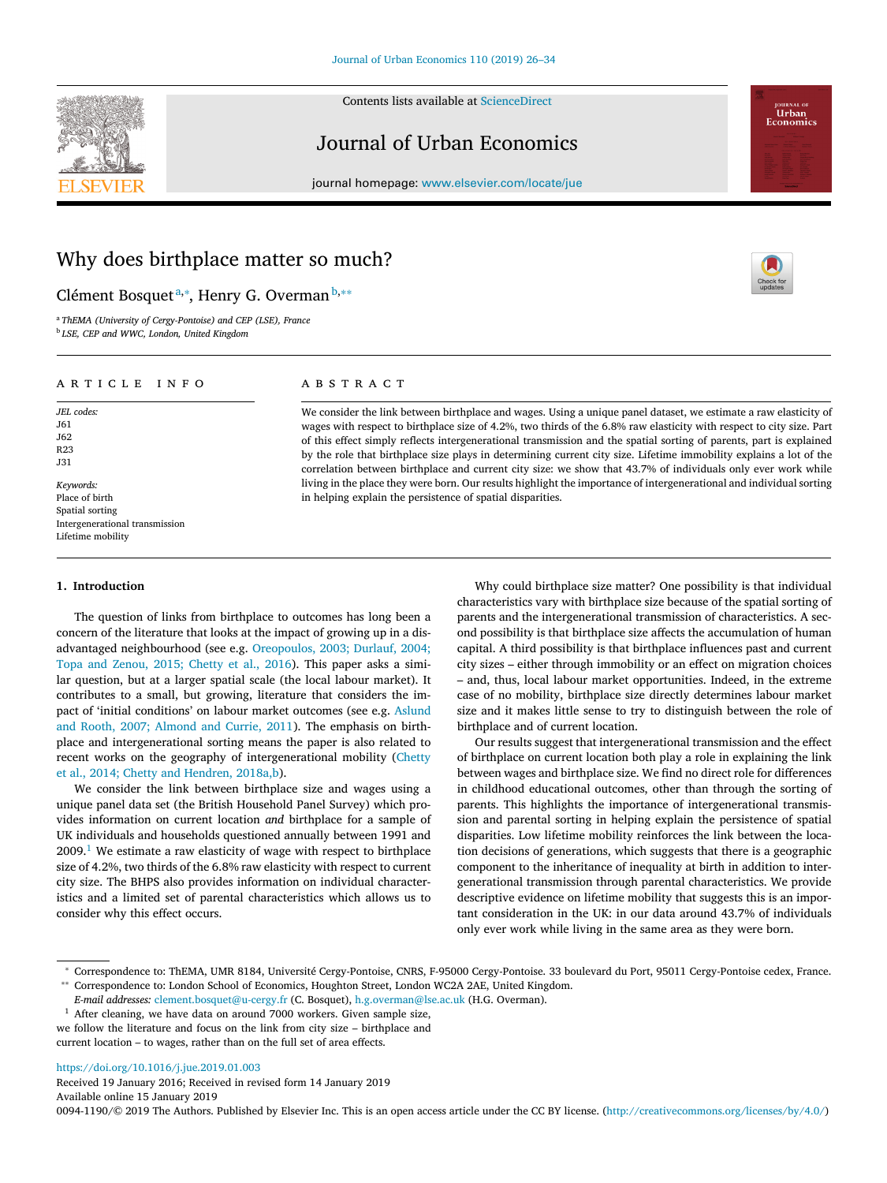Contents lists available at [ScienceDirect](http://www.ScienceDirect.com)



# Journal of Urban Economics



journal homepage: [www.elsevier.com/locate/jue](http://www.elsevier.com/locate/jue)

# Why does birthplace matter so much?

Clément Bosquet<sup>a,</sup>\*, Henry G. Overman<sup>b,</sup>\*\*

<sup>a</sup> *ThEMA (University of Cergy-Pontoise) and CEP (LSE), France* <sup>b</sup> *LSE, CEP and WWC, London, United Kingdom*

# A R T I C L E I N F O

*JEL codes:* J61 J62 R23 J31

*Keywords:* Place of birth Spatial sorting Intergenerational transmission Lifetime mobility

#### **1. Introduction**

The question of links from birthplace to outcomes has long been a concern of the literature that looks at the impact of growing up in a disadvantaged [neighbourhood](#page-8-0) (see e.g. Oreopoulos, 2003; Durlauf, 2004; Topa and Zenou, 2015; Chetty et al., 2016). This paper asks a similar question, but at a larger spatial scale (the local labour market). It contributes to a small, but growing, literature that considers the impact of 'initial [conditions'](#page-8-0) on labour market outcomes (see e.g. Aslund and Rooth, 2007; Almond and Currie, 2011). The emphasis on birthplace and intergenerational sorting means the paper is also related to recent works on the geography of [intergenerational](#page-8-0) mobility (Chetty et al., 2014; Chetty and Hendren, 2018a,b).

We consider the link between birthplace size and wages using a unique panel data set (the British Household Panel Survey) which provides information on current location *and* birthplace for a sample of UK individuals and households questioned annually between 1991 and  $2009<sup>1</sup>$  We estimate a raw elasticity of wage with respect to birthplace size of 4.2%, two thirds of the 6.8% raw elasticity with respect to current city size. The BHPS also provides information on individual characteristics and a limited set of parental characteristics which allows us to consider why this effect occurs.

# a b s t r a c t

We consider the link between birthplace and wages. Using a unique panel dataset, we estimate a raw elasticity of wages with respect to birthplace size of 4.2%, two thirds of the 6.8% raw elasticity with respect to city size. Part of this effect simply reflects intergenerational transmission and the spatial sorting of parents, part is explained by the role that birthplace size plays in determining current city size. Lifetime immobility explains a lot of the correlation between birthplace and current city size: we show that 43.7% of individuals only ever work while living in the place they were born. Our results highlight the importance of intergenerational and individual sorting in helping explain the persistence of spatial disparities.

> Why could birthplace size matter? One possibility is that individual characteristics vary with birthplace size because of the spatial sorting of parents and the intergenerational transmission of characteristics. A second possibility is that birthplace size affects the accumulation of human capital. A third possibility is that birthplace influences past and current city sizes – either through immobility or an effect on migration choices – and, thus, local labour market opportunities. Indeed, in the extreme case of no mobility, birthplace size directly determines labour market size and it makes little sense to try to distinguish between the role of birthplace and of current location.

> Our results suggest that intergenerational transmission and the effect of birthplace on current location both play a role in explaining the link between wages and birthplace size. We find no direct role for differences in childhood educational outcomes, other than through the sorting of parents. This highlights the importance of intergenerational transmission and parental sorting in helping explain the persistence of spatial disparities. Low lifetime mobility reinforces the link between the location decisions of generations, which suggests that there is a geographic component to the inheritance of inequality at birth in addition to intergenerational transmission through parental characteristics. We provide descriptive evidence on lifetime mobility that suggests this is an important consideration in the UK: in our data around 43.7% of individuals only ever work while living in the same area as they were born.

 $1$  After cleaning, we have data on around 7000 workers. Given sample size, we follow the literature and focus on the link from city size – birthplace and current location – to wages, rather than on the full set of area effects.

<https://doi.org/10.1016/j.jue.2019.01.003>

Received 19 January 2016; Received in revised form 14 January 2019 Available online 15 January 2019 0094-1190/© 2019 The Authors. Published by Elsevier Inc. This is an open access article under the CC BY license. [\(http://creativecommons.org/licenses/by/4.0/\)](http://creativecommons.org/licenses/by/4.0/)

<sup>∗</sup> Correspondence to: ThEMA, UMR 8184, Université Cergy-Pontoise, CNRS, F-95000 Cergy-Pontoise. 33 boulevard du Port, 95011 Cergy-Pontoise cedex, France. ∗∗ Correspondence to: London School of Economics, Houghton Street, London WC2A 2AE, United Kingdom.

*E-mail addresses:* [clement.bosquet@u-cergy.fr](mailto:clement.bosquet@u-cergy.fr) (C. Bosquet), [h.g.overman@lse.ac.uk](mailto:h.g.overman@lse.ac.uk) (H.G. Overman).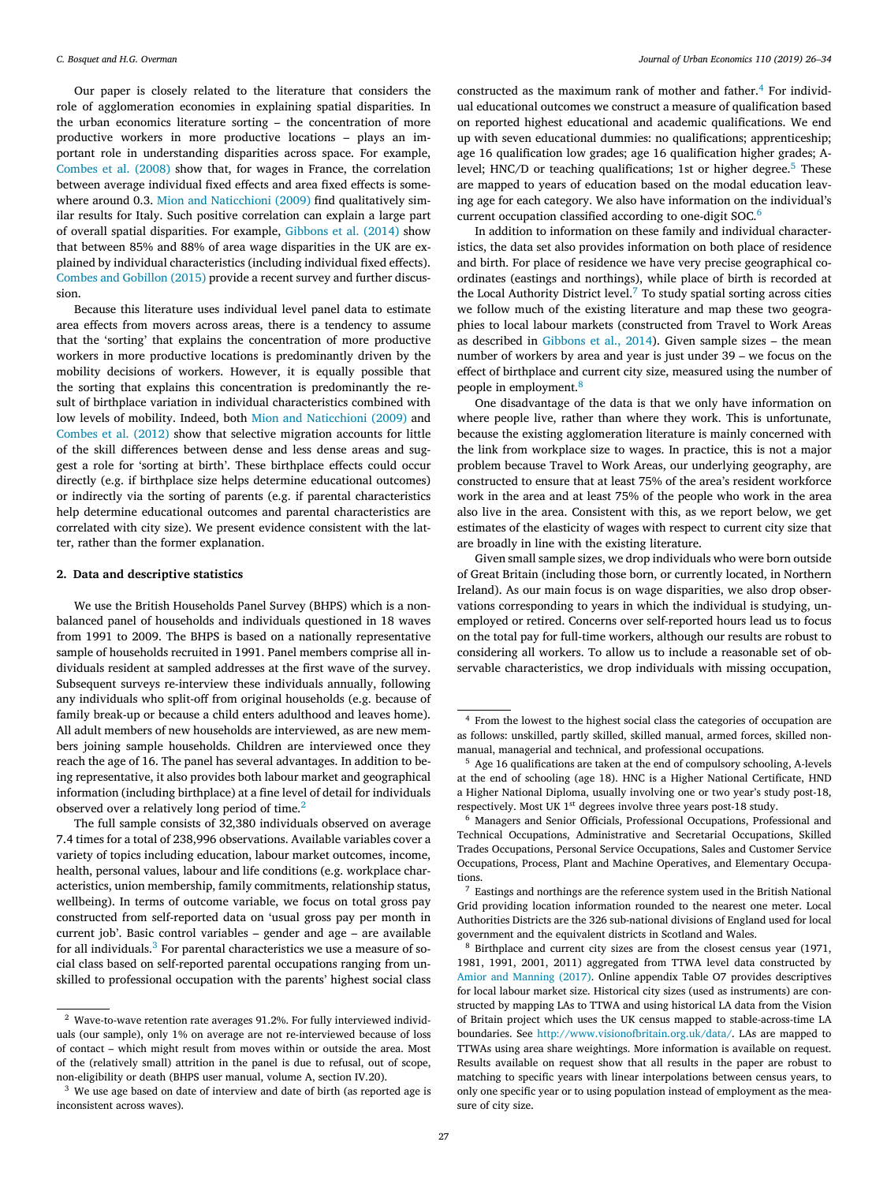<span id="page-1-0"></span>Our paper is closely related to the literature that considers the role of agglomeration economies in explaining spatial disparities. In the urban economics literature sorting – the concentration of more productive workers in more productive locations – plays an important role in understanding disparities across space. For example, [Combes](#page-8-0) et al. (2008) show that, for wages in France, the correlation between average individual fixed effects and area fixed effects is some-where around 0.3. Mion and [Naticchioni](#page-8-0) (2009) find qualitatively similar results for Italy. Such positive correlation can explain a large part of overall spatial disparities. For example, [Gibbons](#page-8-0) et al. (2014) show that between 85% and 88% of area wage disparities in the UK are explained by individual characteristics (including individual fixed effects). Combes and [Gobillon](#page-8-0) (2015) provide a recent survey and further discussion.

Because this literature uses individual level panel data to estimate area effects from movers across areas, there is a tendency to assume that the 'sorting' that explains the concentration of more productive workers in more productive locations is predominantly driven by the mobility decisions of workers. However, it is equally possible that the sorting that explains this concentration is predominantly the result of birthplace variation in individual characteristics combined with low levels of mobility. Indeed, both Mion and [Naticchioni](#page-8-0) (2009) and [Combes](#page-8-0) et al. (2012) show that selective migration accounts for little of the skill differences between dense and less dense areas and suggest a role for 'sorting at birth'. These birthplace effects could occur directly (e.g. if birthplace size helps determine educational outcomes) or indirectly via the sorting of parents (e.g. if parental characteristics help determine educational outcomes and parental characteristics are correlated with city size). We present evidence consistent with the latter, rather than the former explanation.

#### **2. Data and descriptive statistics**

We use the British Households Panel Survey (BHPS) which is a nonbalanced panel of households and individuals questioned in 18 waves from 1991 to 2009. The BHPS is based on a nationally representative sample of households recruited in 1991. Panel members comprise all individuals resident at sampled addresses at the first wave of the survey. Subsequent surveys re-interview these individuals annually, following any individuals who split-off from original households (e.g. because of family break-up or because a child enters adulthood and leaves home). All adult members of new households are interviewed, as are new members joining sample households. Children are interviewed once they reach the age of 16. The panel has several advantages. In addition to being representative, it also provides both labour market and geographical information (including birthplace) at a fine level of detail for individuals observed over a relatively long period of time.<sup>2</sup>

The full sample consists of 32,380 individuals observed on average 7.4 times for a total of 238,996 observations. Available variables cover a variety of topics including education, labour market outcomes, income, health, personal values, labour and life conditions (e.g. workplace characteristics, union membership, family commitments, relationship status, wellbeing). In terms of outcome variable, we focus on total gross pay constructed from self-reported data on 'usual gross pay per month in current job'. Basic control variables – gender and age – are available for all individuals.<sup>3</sup> For parental characteristics we use a measure of social class based on self-reported parental occupations ranging from unskilled to professional occupation with the parents' highest social class constructed as the maximum rank of mother and father.<sup>4</sup> For individual educational outcomes we construct a measure of qualification based on reported highest educational and academic qualifications. We end up with seven educational dummies: no qualifications; apprenticeship; age 16 qualification low grades; age 16 qualification higher grades; Alevel; HNC/D or teaching qualifications; 1st or higher degree.<sup>5</sup> These are mapped to years of education based on the modal education leaving age for each category. We also have information on the individual's current occupation classified according to one-digit SOC.<sup>6</sup>

In addition to information on these family and individual characteristics, the data set also provides information on both place of residence and birth. For place of residence we have very precise geographical coordinates (eastings and northings), while place of birth is recorded at the Local Authority District level. $<sup>7</sup>$  To study spatial sorting across cities</sup> we follow much of the existing literature and map these two geographies to local labour markets (constructed from Travel to Work Areas as described in [Gibbons](#page-8-0) et al., 2014). Given sample sizes – the mean number of workers by area and year is just under 39 – we focus on the effect of birthplace and current city size, measured using the number of people in employment.<sup>8</sup>

One disadvantage of the data is that we only have information on where people live, rather than where they work. This is unfortunate, because the existing agglomeration literature is mainly concerned with the link from workplace size to wages. In practice, this is not a major problem because Travel to Work Areas, our underlying geography, are constructed to ensure that at least 75% of the area's resident workforce work in the area and at least 75% of the people who work in the area also live in the area. Consistent with this, as we report below, we get estimates of the elasticity of wages with respect to current city size that are broadly in line with the existing literature.

Given small sample sizes, we drop individuals who were born outside of Great Britain (including those born, or currently located, in Northern Ireland). As our main focus is on wage disparities, we also drop observations corresponding to years in which the individual is studying, unemployed or retired. Concerns over self-reported hours lead us to focus on the total pay for full-time workers, although our results are robust to considering all workers. To allow us to include a reasonable set of observable characteristics, we drop individuals with missing occupation,

<sup>2</sup> Wave-to-wave retention rate averages 91.2%. For fully interviewed individuals (our sample), only 1% on average are not re-interviewed because of loss of contact – which might result from moves within or outside the area. Most of the (relatively small) attrition in the panel is due to refusal, out of scope, non-eligibility or death (BHPS user manual, volume A, section IV.20).

<sup>3</sup> We use age based on date of interview and date of birth (as reported age is inconsistent across waves).

<sup>4</sup> From the lowest to the highest social class the categories of occupation are as follows: unskilled, partly skilled, skilled manual, armed forces, skilled nonmanual, managerial and technical, and professional occupations.

<sup>5</sup> Age 16 qualifications are taken at the end of compulsory schooling, A-levels at the end of schooling (age 18). HNC is a Higher National Certificate, HND a Higher National Diploma, usually involving one or two year's study post-18, respectively. Most UK 1<sup>st</sup> degrees involve three years post-18 study.

<sup>6</sup> Managers and Senior Officials, Professional Occupations, Professional and Technical Occupations, Administrative and Secretarial Occupations, Skilled Trades Occupations, Personal Service Occupations, Sales and Customer Service Occupations, Process, Plant and Machine Operatives, and Elementary Occupations.

<sup>7</sup> Eastings and northings are the reference system used in the British National Grid providing location information rounded to the nearest one meter. Local Authorities Districts are the 326 sub-national divisions of England used for local government and the equivalent districts in Scotland and Wales.

<sup>8</sup> Birthplace and current city sizes are from the closest census year (1971, 1981, 1991, 2001, 2011) aggregated from TTWA level data constructed by Amior and [Manning](#page-8-0) (2017). Online appendix Table O7 provides descriptives for local labour market size. Historical city sizes (used as instruments) are constructed by mapping LAs to TTWA and using historical LA data from the Vision of Britain project which uses the UK census mapped to stable-across-time LA boundaries. See [http://www.visionofbritain.org.uk/data/.](http://www.visionofbritain.org.uk/data/) LAs are mapped to TTWAs using area share weightings. More information is available on request. Results available on request show that all results in the paper are robust to matching to specific years with linear interpolations between census years, to only one specific year or to using population instead of employment as the measure of city size.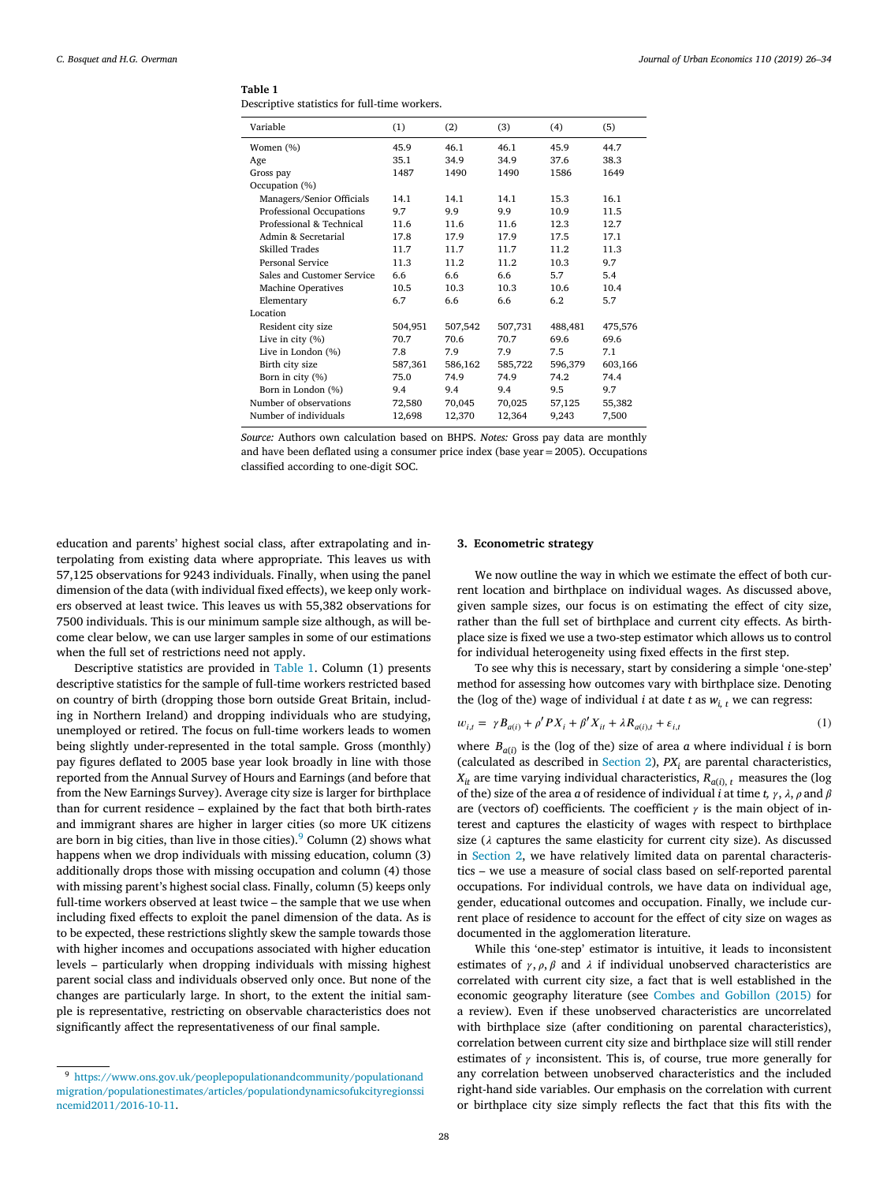<span id="page-2-0"></span>

| Descriptive statistics for full-time workers. |  |  |  |
|-----------------------------------------------|--|--|--|
|-----------------------------------------------|--|--|--|

| Variable                   | (1)     | (2)     | (3)     | (4)     | (5)     |
|----------------------------|---------|---------|---------|---------|---------|
| Women $(\%)$               | 45.9    | 46.1    | 46.1    | 45.9    | 44.7    |
| Age                        | 35.1    | 34.9    | 34.9    | 37.6    | 38.3    |
| Gross pay                  | 1487    | 1490    | 1490    | 1586    | 1649    |
| Occupation (%)             |         |         |         |         |         |
| Managers/Senior Officials  | 14.1    | 14.1    | 14.1    | 15.3    | 16.1    |
| Professional Occupations   | 9.7     | 9.9     | 9.9     | 10.9    | 11.5    |
| Professional & Technical   | 11.6    | 11.6    | 11.6    | 12.3    | 12.7    |
| Admin & Secretarial        | 17.8    | 17.9    | 17.9    | 17.5    | 17.1    |
| Skilled Trades             | 11.7    | 11.7    | 11.7    | 11.2    | 11.3    |
| Personal Service           | 11.3    | 11.2    | 11.2    | 10.3    | 9.7     |
| Sales and Customer Service | 6.6     | 6.6     | 6.6     | 5.7     | 5.4     |
| <b>Machine Operatives</b>  | 10.5    | 10.3    | 10.3    | 10.6    | 10.4    |
| Elementary                 | 6.7     | 6.6     | 6.6     | 6.2     | 5.7     |
| Location                   |         |         |         |         |         |
| Resident city size         | 504,951 | 507,542 | 507,731 | 488,481 | 475,576 |
| Live in city $(\% )$       | 70.7    | 70.6    | 70.7    | 69.6    | 69.6    |
| Live in London (%)         | 7.8     | 7.9     | 7.9     | 7.5     | 7.1     |
| Birth city size            | 587,361 | 586,162 | 585,722 | 596,379 | 603,166 |
| Born in city (%)           | 75.0    | 74.9    | 74.9    | 74.2    | 74.4    |
| Born in London (%)         | 9.4     | 9.4     | 9.4     | 9.5     | 9.7     |
| Number of observations     | 72,580  | 70,045  | 70,025  | 57,125  | 55,382  |
| Number of individuals      | 12,698  | 12,370  | 12,364  | 9,243   | 7,500   |

*Source:* Authors own calculation based on BHPS. *Notes:* Gross pay data are monthly and have been deflated using a consumer price index (base year=2005). Occupations classified according to one-digit SOC.

education and parents' highest social class, after extrapolating and interpolating from existing data where appropriate. This leaves us with 57,125 observations for 9243 individuals. Finally, when using the panel dimension of the data (with individual fixed effects), we keep only workers observed at least twice. This leaves us with 55,382 observations for 7500 individuals. This is our minimum sample size although, as will become clear below, we can use larger samples in some of our estimations when the full set of restrictions need not apply.

Descriptive statistics are provided in Table 1. Column (1) presents descriptive statistics for the sample of full-time workers restricted based on country of birth (dropping those born outside Great Britain, including in Northern Ireland) and dropping individuals who are studying, unemployed or retired. The focus on full-time workers leads to women being slightly under-represented in the total sample. Gross (monthly) pay figures deflated to 2005 base year look broadly in line with those reported from the Annual Survey of Hours and Earnings (and before that from the New Earnings Survey). Average city size is larger for birthplace than for current residence – explained by the fact that both birth-rates and immigrant shares are higher in larger cities (so more UK citizens are born in big cities, than live in those cities).  $9 \text{ Column} (2)$  shows what happens when we drop individuals with missing education, column (3) additionally drops those with missing occupation and column (4) those with missing parent's highest social class. Finally, column (5) keeps only full-time workers observed at least twice – the sample that we use when including fixed effects to exploit the panel dimension of the data. As is to be expected, these restrictions slightly skew the sample towards those with higher incomes and occupations associated with higher education levels – particularly when dropping individuals with missing highest parent social class and individuals observed only once. But none of the changes are particularly large. In short, to the extent the initial sample is representative, restricting on observable characteristics does not significantly affect the representativeness of our final sample.

# **3. Econometric strategy**

We now outline the way in which we estimate the effect of both current location and birthplace on individual wages. As discussed above, given sample sizes, our focus is on estimating the effect of city size, rather than the full set of birthplace and current city effects. As birthplace size is fixed we use a two-step estimator which allows us to control for individual heterogeneity using fixed effects in the first step.

To see why this is necessary, start by considering a simple 'one-step' method for assessing how outcomes vary with birthplace size. Denoting the (log of the) wage of individual *i* at date *t* as  $w_{i,t}$  we can regress:

$$
w_{i,t} = \gamma B_{a(i)} + \rho' PX_i + \beta' X_{it} + \lambda R_{a(i),t} + \varepsilon_{i,t}
$$
\n<sup>(1)</sup>

where  $B_{a(i)}$  is the (log of the) size of area *a* where individual *i* is born (calculated as described in [Section](#page-1-0) 2),  $PX_i$  are parental characteristics,  $X_{it}$  are time varying individual characteristics,  $R_{a(i), t}$  measures the (log of the) size of the area *a* of residence of individual *i* at time *t*,  $\gamma$ ,  $\lambda$ ,  $\rho$  and  $\beta$ are (vectors of) coefficients. The coefficient  $\gamma$  is the main object of interest and captures the elasticity of wages with respect to birthplace size ( $\lambda$  captures the same elasticity for current city size). As discussed in [Section](#page-1-0) 2, we have relatively limited data on parental characteristics – we use a measure of social class based on self-reported parental occupations. For individual controls, we have data on individual age, gender, educational outcomes and occupation. Finally, we include current place of residence to account for the effect of city size on wages as documented in the agglomeration literature.

While this 'one-step' estimator is intuitive, it leads to inconsistent estimates of  $\gamma$ ,  $\rho$ ,  $\beta$  and  $\lambda$  if individual unobserved characteristics are correlated with current city size, a fact that is well established in the economic geography literature (see Combes and [Gobillon](#page-8-0) (2015) for a review). Even if these unobserved characteristics are uncorrelated with birthplace size (after conditioning on parental characteristics), correlation between current city size and birthplace size will still render estimates of  $\gamma$  inconsistent. This is, of course, true more generally for any correlation between unobserved characteristics and the included right-hand side variables. Our emphasis on the correlation with current or birthplace city size simply reflects the fact that this fits with the

<sup>9</sup> https://www.ons.gov.uk/peoplepopulationandcommunity/populationand [migration/populationestimates/articles/populationdynamicsofukcityregionssi](https://www.ons.gov.uk/peoplepopulationandcommunity/populationandmigration/populationestimates/articles/populationdynamicsofukcityregionssincemid2011/2016-10-11) ncemid2011/2016-10-11.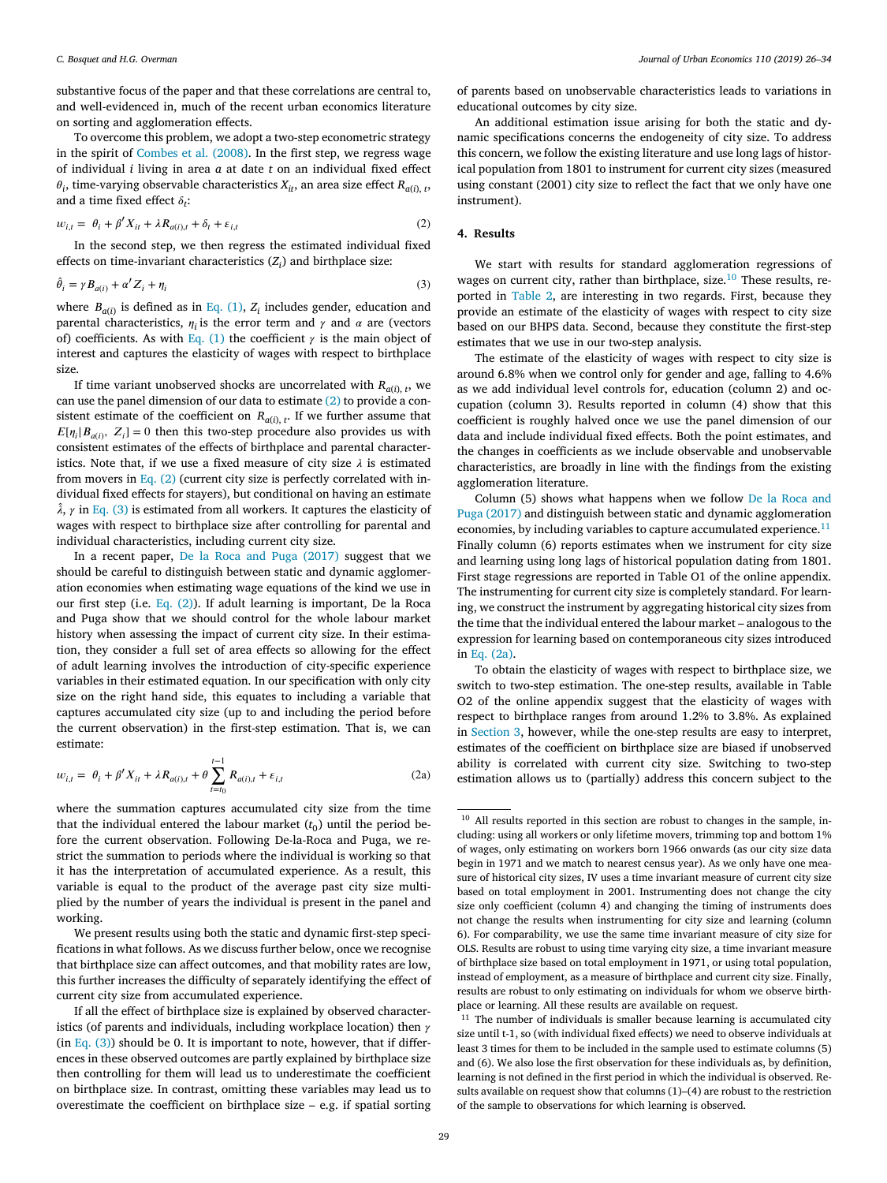<span id="page-3-0"></span>substantive focus of the paper and that these correlations are central to, and well-evidenced in, much of the recent urban economics literature on sorting and agglomeration effects.

To overcome this problem, we adopt a two-step econometric strategy in the spirit of [Combes](#page-8-0) et al. (2008). In the first step, we regress wage of individual *i* living in area *a* at date *t* on an individual fixed effect  $\theta_i$ , time-varying observable characteristics  $X_{it}$ , an area size effect  $R_{\alpha(i), t}$ , and a time fixed effect  $\delta_t$ :

$$
w_{i,t} = \theta_i + \beta' X_{it} + \lambda R_{a(i),t} + \delta_t + \varepsilon_{i,t}
$$
\n<sup>(2)</sup>

In the second step, we then regress the estimated individual fixed effects on time-invariant characteristics  $(Z_i)$  and birthplace size:

$$
\hat{\theta}_i = \gamma B_{a(i)} + \alpha' Z_i + \eta_i \tag{3}
$$

where  $B_{a(i)}$  is defined as in Eq. [\(1\),](#page-2-0)  $Z_i$  includes gender, education and parental characteristics,  $\eta_i$  is the error term and  $\gamma$  and  $\alpha$  are (vectors of) coefficients. As with [Eq.](#page-2-0) (1) the coefficient  $\gamma$  is the main object of interest and captures the elasticity of wages with respect to birthplace size.

If time variant unobserved shocks are uncorrelated with  $R_{a(i), t}$ , we can use the panel dimension of our data to estimate (2) to provide a consistent estimate of the coefficient on  $R_{a(i), t}$ . If we further assume that  $E[\eta_i|B_{a(i)}, Z_i] = 0$  then this two-step procedure also provides us with consistent estimates of the effects of birthplace and parental characteristics. Note that, if we use a fixed measure of city size  $\lambda$  is estimated from movers in Eq.  $(2)$  (current city size is perfectly correlated with individual fixed effects for stayers), but conditional on having an estimate  $\hat{\lambda}$ ,  $\gamma$  in Eq. (3) is estimated from all workers. It captures the elasticity of wages with respect to birthplace size after controlling for parental and individual characteristics, including current city size.

In a recent paper, De la Roca and Puga [\(2017\)](#page-8-0) suggest that we should be careful to distinguish between static and dynamic agglomeration economies when estimating wage equations of the kind we use in our first step (i.e. Eq. (2)). If adult learning is important, De la Roca and Puga show that we should control for the whole labour market history when assessing the impact of current city size. In their estimation, they consider a full set of area effects so allowing for the effect of adult learning involves the introduction of city-specific experience variables in their estimated equation. In our specification with only city size on the right hand side, this equates to including a variable that captures accumulated city size (up to and including the period before the current observation) in the first-step estimation. That is, we can estimate:

$$
w_{i,t} = \theta_i + \beta' X_{it} + \lambda R_{a(i),t} + \theta \sum_{t=t_0}^{t-1} R_{a(i),t} + \varepsilon_{i,t}
$$
 (2a)

where the summation captures accumulated city size from the time that the individual entered the labour market  $(t_0)$  until the period before the current observation. Following De-la-Roca and Puga, we restrict the summation to periods where the individual is working so that it has the interpretation of accumulated experience. As a result, this variable is equal to the product of the average past city size multiplied by the number of years the individual is present in the panel and working.

We present results using both the static and dynamic first-step specifications in what follows. As we discuss further below, once we recognise that birthplace size can affect outcomes, and that mobility rates are low, this further increases the difficulty of separately identifying the effect of current city size from accumulated experience.

If all the effect of birthplace size is explained by observed characteristics (of parents and individuals, including workplace location) then  $\gamma$ (in Eq.  $(3)$ ) should be 0. It is important to note, however, that if differences in these observed outcomes are partly explained by birthplace size then controlling for them will lead us to underestimate the coefficient on birthplace size. In contrast, omitting these variables may lead us to overestimate the coefficient on birthplace size – e.g. if spatial sorting of parents based on unobservable characteristics leads to variations in educational outcomes by city size.

An additional estimation issue arising for both the static and dynamic specifications concerns the endogeneity of city size. To address this concern, we follow the existing literature and use long lags of historical population from 1801 to instrument for current city sizes (measured using constant (2001) city size to reflect the fact that we only have one instrument).

# **4. Results**

We start with results for standard agglomeration regressions of wages on current city, rather than birthplace, size.<sup>10</sup> These results, reported in [Table](#page-4-0) 2, are interesting in two regards. First, because they provide an estimate of the elasticity of wages with respect to city size based on our BHPS data. Second, because they constitute the first-step estimates that we use in our two-step analysis.

The estimate of the elasticity of wages with respect to city size is around 6.8% when we control only for gender and age, falling to 4.6% as we add individual level controls for, education (column 2) and occupation (column 3). Results reported in column (4) show that this coefficient is roughly halved once we use the panel dimension of our data and include individual fixed effects. Both the point estimates, and the changes in coefficients as we include observable and unobservable characteristics, are broadly in line with the findings from the existing agglomeration literature.

Column (5) shows what happens when we follow De la Roca and Puga (2017) and distinguish between static and dynamic [agglomeration](#page-8-0) economies, by including variables to capture accumulated experience.<sup>11</sup> Finally column (6) reports estimates when we instrument for city size and learning using long lags of historical population dating from 1801. First stage regressions are reported in Table O1 of the online appendix. The instrumenting for current city size is completely standard. For learning, we construct the instrument by aggregating historical city sizes from the time that the individual entered the labour market – analogous to the expression for learning based on contemporaneous city sizes introduced in Eq. (2a).

To obtain the elasticity of wages with respect to birthplace size, we switch to two-step estimation. The one-step results, available in Table O2 of the online appendix suggest that the elasticity of wages with respect to birthplace ranges from around 1.2% to 3.8%. As explained in [Section](#page-2-0) 3, however, while the one-step results are easy to interpret, estimates of the coefficient on birthplace size are biased if unobserved ability is correlated with current city size. Switching to two-step estimation allows us to (partially) address this concern subject to the

<sup>&</sup>lt;sup>10</sup> All results reported in this section are robust to changes in the sample, including: using all workers or only lifetime movers, trimming top and bottom 1% of wages, only estimating on workers born 1966 onwards (as our city size data begin in 1971 and we match to nearest census year). As we only have one measure of historical city sizes, IV uses a time invariant measure of current city size based on total employment in 2001. Instrumenting does not change the city size only coefficient (column 4) and changing the timing of instruments does not change the results when instrumenting for city size and learning (column 6). For comparability, we use the same time invariant measure of city size for OLS. Results are robust to using time varying city size, a time invariant measure of birthplace size based on total employment in 1971, or using total population, instead of employment, as a measure of birthplace and current city size. Finally, results are robust to only estimating on individuals for whom we observe birthplace or learning. All these results are available on request.

 $11$  The number of individuals is smaller because learning is accumulated city size until t-1, so (with individual fixed effects) we need to observe individuals at least 3 times for them to be included in the sample used to estimate columns (5) and (6). We also lose the first observation for these individuals as, by definition, learning is not defined in the first period in which the individual is observed. Results available on request show that columns (1)–(4) are robust to the restriction of the sample to observations for which learning is observed.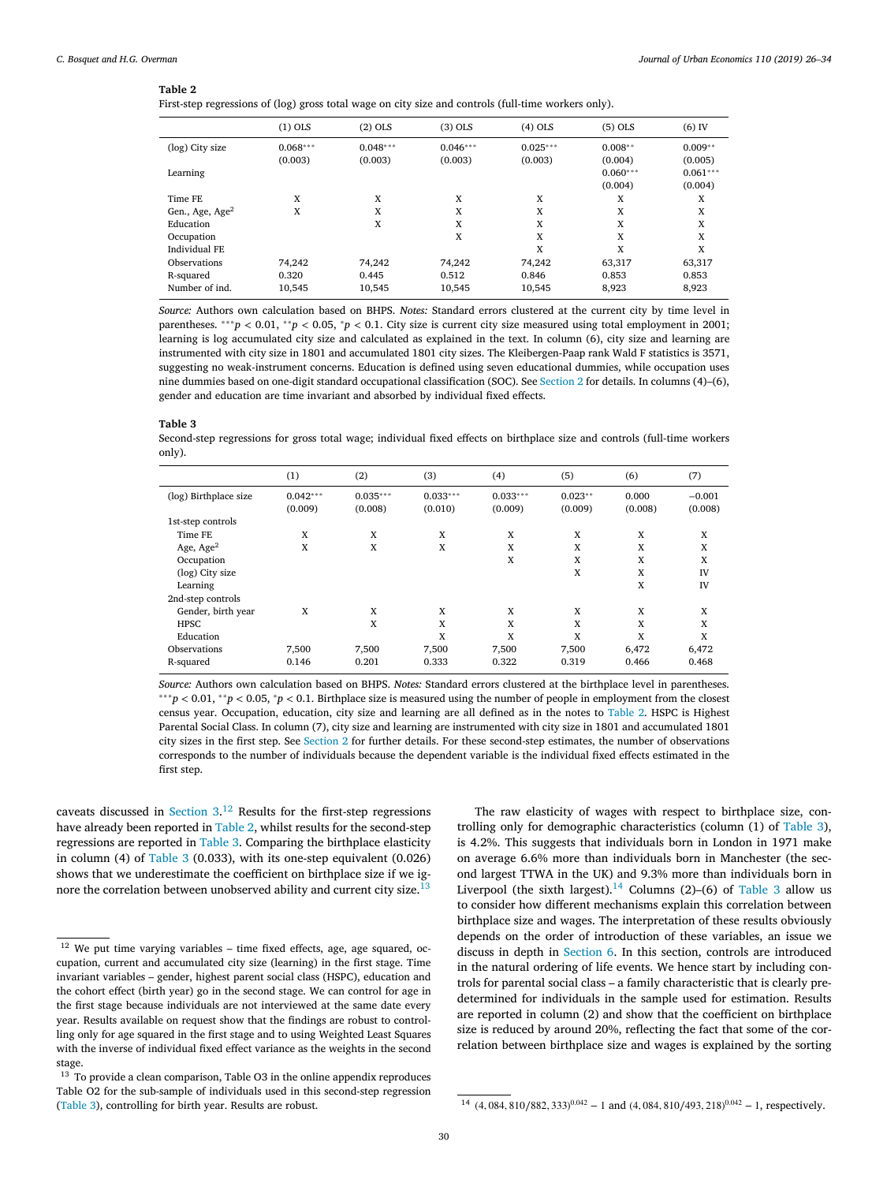<span id="page-4-0"></span>First-step regressions of (log) gross total wage on city size and controls (full-time workers only).

|                             | $(1)$ OLS  | $(2)$ OLS  | $(3)$ OLS  | $(4)$ OLS  | $(5)$ OLS  | $(6)$ IV   |
|-----------------------------|------------|------------|------------|------------|------------|------------|
| (log) City size             | $0.068***$ | $0.048***$ | $0.046***$ | $0.025***$ | $0.008**$  | $0.009**$  |
|                             | (0.003)    | (0.003)    | (0.003)    | (0.003)    | (0.004)    | (0.005)    |
| Learning                    |            |            |            |            | $0.060***$ | $0.061***$ |
|                             |            |            |            |            | (0.004)    | (0.004)    |
| Time FE                     | X          | X          | X          | X          | X          | X          |
| Gen., Age, Age <sup>2</sup> | X          | X          | X          | X          | X          | X          |
| Education                   |            | X          | X          | X          | X          | x          |
| Occupation                  |            |            | X          | X          | X          | X          |
| Individual FE               |            |            |            | X          | X          | X          |
| Observations                | 74.242     | 74,242     | 74,242     | 74.242     | 63,317     | 63,317     |
| R-squared                   | 0.320      | 0.445      | 0.512      | 0.846      | 0.853      | 0.853      |
| Number of ind.              | 10,545     | 10,545     | 10,545     | 10,545     | 8,923      | 8,923      |
|                             |            |            |            |            |            |            |

*Source:* Authors own calculation based on BHPS. *Notes:* Standard errors clustered at the current city by time level in parentheses. ∗∗∗*p <* 0.01, ∗∗*p <* 0.05, <sup>∗</sup>*p <* 0.1. City size is current city size measured using total employment in 2001; learning is log accumulated city size and calculated as explained in the text. In column (6), city size and learning are instrumented with city size in 1801 and accumulated 1801 city sizes. The Kleibergen-Paap rank Wald F statistics is 3571, suggesting no weak-instrument concerns. Education is defined using seven educational dummies, while occupation uses nine dummies based on one-digit standard occupational classification (SOC). See [Section](#page-1-0) 2 for details. In columns (4)–(6), gender and education are time invariant and absorbed by individual fixed effects.

#### **Table 3**

Second-step regressions for gross total wage; individual fixed effects on birthplace size and controls (full-time workers only).

|                       | (1)                   | (2)                   | (3)                   | (4)                   | (5)                  | (6)              | (7)                 |
|-----------------------|-----------------------|-----------------------|-----------------------|-----------------------|----------------------|------------------|---------------------|
| (log) Birthplace size | $0.042***$<br>(0.009) | $0.035***$<br>(0.008) | $0.033***$<br>(0.010) | $0.033***$<br>(0.009) | $0.023**$<br>(0.009) | 0.000<br>(0.008) | $-0.001$<br>(0.008) |
| 1st-step controls     |                       |                       |                       |                       |                      |                  |                     |
| Time FE               | X                     | X                     | X                     | X                     | X                    | X                | X                   |
| Age, $Age^2$          | X                     | X                     | X                     | X                     | X                    | X                | X                   |
| Occupation            |                       |                       |                       | X                     | X                    | X                | X                   |
| (log) City size       |                       |                       |                       |                       | X                    | X                | IV                  |
| Learning              |                       |                       |                       |                       |                      | X                | IV                  |
| 2nd-step controls     |                       |                       |                       |                       |                      |                  |                     |
| Gender, birth year    | X                     | X                     | X                     | X                     | X                    | X                | X                   |
| <b>HPSC</b>           |                       | X                     | X                     | X                     | X                    | X                | X                   |
| Education             |                       |                       | X                     | X                     | X                    | X                | X                   |
| Observations          | 7.500                 | 7,500                 | 7,500                 | 7,500                 | 7,500                | 6,472            | 6,472               |
| R-squared             | 0.146                 | 0.201                 | 0.333                 | 0.322                 | 0.319                | 0.466            | 0.468               |

*Source:* Authors own calculation based on BHPS. *Notes:* Standard errors clustered at the birthplace level in parentheses. ∗∗∗*p <* 0.01, ∗∗*p <* 0.05, <sup>∗</sup>*p <* 0.1. Birthplace size is measured using the number of people in employment from the closest census year. Occupation, education, city size and learning are all defined as in the notes to Table 2. HSPC is Highest Parental Social Class. In column (7), city size and learning are instrumented with city size in 1801 and accumulated 1801 city sizes in the first step. See [Section](#page-1-0) 2 for further details. For these second-step estimates, the number of observations corresponds to the number of individuals because the dependent variable is the individual fixed effects estimated in the first step.

caveats discussed in [Section](#page-2-0)  $3<sup>12</sup>$  Results for the first-step regressions have already been reported in Table 2, whilst results for the second-step regressions are reported in Table 3. Comparing the birthplace elasticity in column (4) of Table 3 (0.033), with its one-step equivalent (0.026) shows that we underestimate the coefficient on birthplace size if we ignore the correlation between unobserved ability and current city size.  $^{\rm 13}$ 

The raw elasticity of wages with respect to birthplace size, controlling only for demographic characteristics (column (1) of Table 3), is 4.2%. This suggests that individuals born in London in 1971 make on average 6.6% more than individuals born in Manchester (the second largest TTWA in the UK) and 9.3% more than individuals born in Liverpool (the sixth largest).<sup>14</sup> Columns (2)–(6) of Table 3 allow us to consider how different mechanisms explain this correlation between birthplace size and wages. The interpretation of these results obviously depends on the order of introduction of these variables, an issue we discuss in depth in [Section](#page-6-0) 6. In this section, controls are introduced in the natural ordering of life events. We hence start by including controls for parental social class – a family characteristic that is clearly predetermined for individuals in the sample used for estimation. Results are reported in column (2) and show that the coefficient on birthplace size is reduced by around 20%, reflecting the fact that some of the correlation between birthplace size and wages is explained by the sorting

<sup>12</sup> We put time varying variables – time fixed effects, age, age squared, occupation, current and accumulated city size (learning) in the first stage. Time invariant variables – gender, highest parent social class (HSPC), education and the cohort effect (birth year) go in the second stage. We can control for age in the first stage because individuals are not interviewed at the same date every year. Results available on request show that the findings are robust to controlling only for age squared in the first stage and to using Weighted Least Squares with the inverse of individual fixed effect variance as the weights in the second stage.

<sup>&</sup>lt;sup>13</sup> To provide a clean comparison, Table O3 in the online appendix reproduces Table O2 for the sub-sample of individuals used in this second-step regression (Table 3), controlling for birth year. Results are robust.

<sup>14</sup> (4*,* 084*,* 810∕882*,* 333) <sup>0</sup>*.*<sup>042</sup> − 1 and (4*,* 084*,* 810∕493*,* 218) <sup>0</sup>*.*<sup>042</sup> − 1, respectively.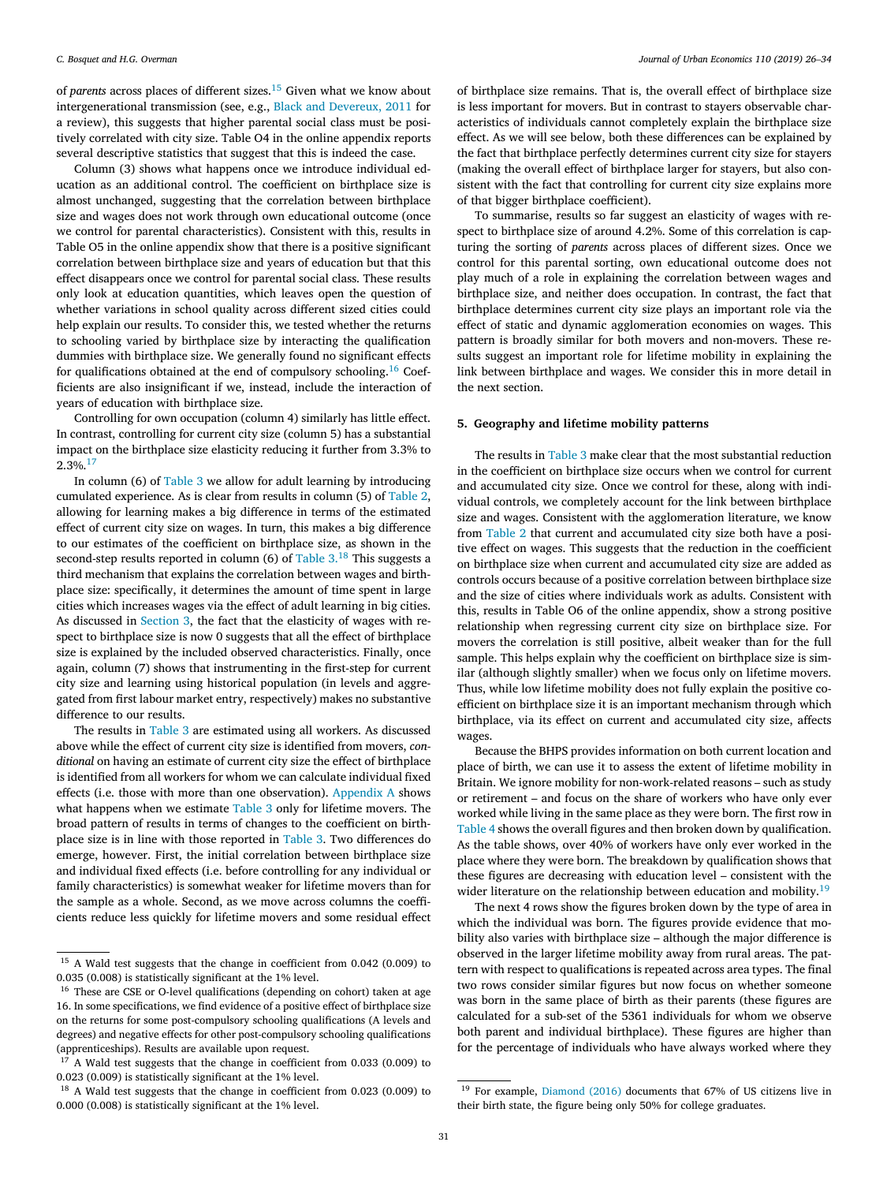of *parents* across places of different sizes.<sup>15</sup> Given what we know about intergenerational transmission (see, e.g., Black and [Devereux,](#page-8-0) 2011 for a review), this suggests that higher parental social class must be positively correlated with city size. Table O4 in the online appendix reports several descriptive statistics that suggest that this is indeed the case.

Column (3) shows what happens once we introduce individual education as an additional control. The coefficient on birthplace size is almost unchanged, suggesting that the correlation between birthplace size and wages does not work through own educational outcome (once we control for parental characteristics). Consistent with this, results in Table O5 in the online appendix show that there is a positive significant correlation between birthplace size and years of education but that this effect disappears once we control for parental social class. These results only look at education quantities, which leaves open the question of whether variations in school quality across different sized cities could help explain our results. To consider this, we tested whether the returns to schooling varied by birthplace size by interacting the qualification dummies with birthplace size. We generally found no significant effects for qualifications obtained at the end of compulsory schooling.<sup>16</sup> Coefficients are also insignificant if we, instead, include the interaction of years of education with birthplace size.

Controlling for own occupation (column 4) similarly has little effect. In contrast, controlling for current city size (column 5) has a substantial impact on the birthplace size elasticity reducing it further from 3.3% to  $2.3\%$ <sup>17</sup>

In column (6) of [Table](#page-4-0) 3 we allow for adult learning by introducing cumulated experience. As is clear from results in column (5) of [Table](#page-4-0) 2, allowing for learning makes a big difference in terms of the estimated effect of current city size on wages. In turn, this makes a big difference to our estimates of the coefficient on birthplace size, as shown in the second-step results reported in column (6) of [Table](#page-4-0)  $3.18$  This suggests a third mechanism that explains the correlation between wages and birthplace size: specifically, it determines the amount of time spent in large cities which increases wages via the effect of adult learning in big cities. As discussed in [Section](#page-2-0) 3, the fact that the elasticity of wages with respect to birthplace size is now 0 suggests that all the effect of birthplace size is explained by the included observed characteristics. Finally, once again, column (7) shows that instrumenting in the first-step for current city size and learning using historical population (in levels and aggregated from first labour market entry, respectively) makes no substantive difference to our results.

The results in [Table](#page-4-0) 3 are estimated using all workers. As discussed above while the effect of current city size is identified from movers, *conditional* on having an estimate of current city size the effect of birthplace is identified from all workers for whom we can calculate individual fixed effects (i.e. those with more than one observation). [Appendix](#page-8-0) A shows what happens when we estimate [Table](#page-4-0) 3 only for lifetime movers. The broad pattern of results in terms of changes to the coefficient on birthplace size is in line with those reported in [Table](#page-4-0) 3. Two differences do emerge, however. First, the initial correlation between birthplace size and individual fixed effects (i.e. before controlling for any individual or family characteristics) is somewhat weaker for lifetime movers than for the sample as a whole. Second, as we move across columns the coefficients reduce less quickly for lifetime movers and some residual effect of birthplace size remains. That is, the overall effect of birthplace size is less important for movers. But in contrast to stayers observable characteristics of individuals cannot completely explain the birthplace size effect. As we will see below, both these differences can be explained by the fact that birthplace perfectly determines current city size for stayers (making the overall effect of birthplace larger for stayers, but also consistent with the fact that controlling for current city size explains more of that bigger birthplace coefficient).

To summarise, results so far suggest an elasticity of wages with respect to birthplace size of around 4.2%. Some of this correlation is capturing the sorting of *parents* across places of different sizes. Once we control for this parental sorting, own educational outcome does not play much of a role in explaining the correlation between wages and birthplace size, and neither does occupation. In contrast, the fact that birthplace determines current city size plays an important role via the effect of static and dynamic agglomeration economies on wages. This pattern is broadly similar for both movers and non-movers. These results suggest an important role for lifetime mobility in explaining the link between birthplace and wages. We consider this in more detail in the next section.

#### **5. Geography and lifetime mobility patterns**

The results in [Table](#page-4-0) 3 make clear that the most substantial reduction in the coefficient on birthplace size occurs when we control for current and accumulated city size. Once we control for these, along with individual controls, we completely account for the link between birthplace size and wages. Consistent with the agglomeration literature, we know from [Table](#page-4-0) 2 that current and accumulated city size both have a positive effect on wages. This suggests that the reduction in the coefficient on birthplace size when current and accumulated city size are added as controls occurs because of a positive correlation between birthplace size and the size of cities where individuals work as adults. Consistent with this, results in Table O6 of the online appendix, show a strong positive relationship when regressing current city size on birthplace size. For movers the correlation is still positive, albeit weaker than for the full sample. This helps explain why the coefficient on birthplace size is similar (although slightly smaller) when we focus only on lifetime movers. Thus, while low lifetime mobility does not fully explain the positive coefficient on birthplace size it is an important mechanism through which birthplace, via its effect on current and accumulated city size, affects wages.

Because the BHPS provides information on both current location and place of birth, we can use it to assess the extent of lifetime mobility in Britain. We ignore mobility for non-work-related reasons – such as study or retirement – and focus on the share of workers who have only ever worked while living in the same place as they were born. The first row in [Table](#page-6-0) 4 shows the overall figures and then broken down by qualification. As the table shows, over 40% of workers have only ever worked in the place where they were born. The breakdown by qualification shows that these figures are decreasing with education level – consistent with the wider literature on the relationship between education and mobility.<sup>19</sup>

The next 4 rows show the figures broken down by the type of area in which the individual was born. The figures provide evidence that mobility also varies with birthplace size – although the major difference is observed in the larger lifetime mobility away from rural areas. The pattern with respect to qualifications is repeated across area types. The final two rows consider similar figures but now focus on whether someone was born in the same place of birth as their parents (these figures are calculated for a sub-set of the 5361 individuals for whom we observe both parent and individual birthplace). These figures are higher than for the percentage of individuals who have always worked where they

<sup>&</sup>lt;sup>15</sup> A Wald test suggests that the change in coefficient from 0.042 (0.009) to 0.035 (0.008) is statistically significant at the 1% level.

<sup>&</sup>lt;sup>16</sup> These are CSE or O-level qualifications (depending on cohort) taken at age 16. In some specifications, we find evidence of a positive effect of birthplace size on the returns for some post-compulsory schooling qualifications (A levels and degrees) and negative effects for other post-compulsory schooling qualifications (apprenticeships). Results are available upon request.

<sup>&</sup>lt;sup>17</sup> A Wald test suggests that the change in coefficient from 0.033 (0.009) to 0.023 (0.009) is statistically significant at the 1% level.

<sup>18</sup> A Wald test suggests that the change in coefficient from 0.023 (0.009) to 0.000 (0.008) is statistically significant at the 1% level.

<sup>19</sup> For example, [Diamond](#page-8-0) (2016) documents that 67% of US citizens live in their birth state, the figure being only 50% for college graduates.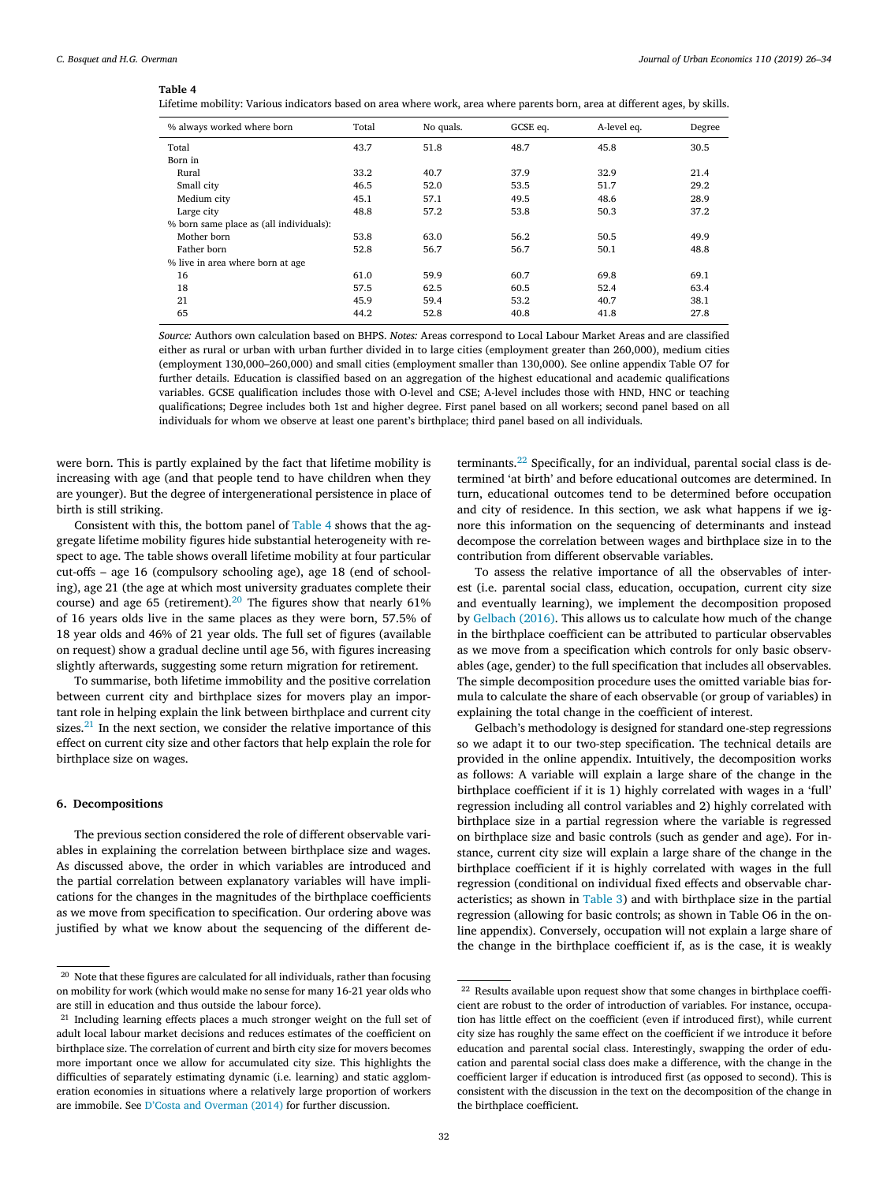<span id="page-6-0"></span>

| Lifetime mobility: Various indicators based on area where work, area where parents born, area at different ages, by skills. |  |  |  |  |
|-----------------------------------------------------------------------------------------------------------------------------|--|--|--|--|
|-----------------------------------------------------------------------------------------------------------------------------|--|--|--|--|

| % always worked where born              | Total | No quals. | GCSE eq. | A-level eq. | Degree |
|-----------------------------------------|-------|-----------|----------|-------------|--------|
| Total                                   | 43.7  | 51.8      | 48.7     | 45.8        | 30.5   |
| Born in                                 |       |           |          |             |        |
| Rural                                   | 33.2  | 40.7      | 37.9     | 32.9        | 21.4   |
| Small city                              | 46.5  | 52.0      | 53.5     | 51.7        | 29.2   |
| Medium city                             | 45.1  | 57.1      | 49.5     | 48.6        | 28.9   |
| Large city                              | 48.8  | 57.2      | 53.8     | 50.3        | 37.2   |
| % born same place as (all individuals): |       |           |          |             |        |
| Mother born                             | 53.8  | 63.0      | 56.2     | 50.5        | 49.9   |
| Father born                             | 52.8  | 56.7      | 56.7     | 50.1        | 48.8   |
| % live in area where born at age        |       |           |          |             |        |
| 16                                      | 61.0  | 59.9      | 60.7     | 69.8        | 69.1   |
| 18                                      | 57.5  | 62.5      | 60.5     | 52.4        | 63.4   |
| 21                                      | 45.9  | 59.4      | 53.2     | 40.7        | 38.1   |
| 65                                      | 44.2  | 52.8      | 40.8     | 41.8        | 27.8   |
|                                         |       |           |          |             |        |

*Source:* Authors own calculation based on BHPS. *Notes:* Areas correspond to Local Labour Market Areas and are classified either as rural or urban with urban further divided in to large cities (employment greater than 260,000), medium cities (employment 130,000–260,000) and small cities (employment smaller than 130,000). See online appendix Table O7 for further details. Education is classified based on an aggregation of the highest educational and academic qualifications variables. GCSE qualification includes those with O-level and CSE; A-level includes those with HND, HNC or teaching qualifications; Degree includes both 1st and higher degree. First panel based on all workers; second panel based on all individuals for whom we observe at least one parent's birthplace; third panel based on all individuals.

were born. This is partly explained by the fact that lifetime mobility is increasing with age (and that people tend to have children when they are younger). But the degree of intergenerational persistence in place of birth is still striking.

Consistent with this, the bottom panel of Table 4 shows that the aggregate lifetime mobility figures hide substantial heterogeneity with respect to age. The table shows overall lifetime mobility at four particular cut-offs – age 16 (compulsory schooling age), age 18 (end of schooling), age 21 (the age at which most university graduates complete their course) and age 65 (retirement). $20$  The figures show that nearly 61% of 16 years olds live in the same places as they were born, 57.5% of 18 year olds and 46% of 21 year olds. The full set of figures (available on request) show a gradual decline until age 56, with figures increasing slightly afterwards, suggesting some return migration for retirement.

To summarise, both lifetime immobility and the positive correlation between current city and birthplace sizes for movers play an important role in helping explain the link between birthplace and current city sizes. $21$  In the next section, we consider the relative importance of this effect on current city size and other factors that help explain the role for birthplace size on wages.

## **6. Decompositions**

The previous section considered the role of different observable variables in explaining the correlation between birthplace size and wages. As discussed above, the order in which variables are introduced and the partial correlation between explanatory variables will have implications for the changes in the magnitudes of the birthplace coefficients as we move from specification to specification. Our ordering above was justified by what we know about the sequencing of the different de-

terminants.<sup>22</sup> Specifically, for an individual, parental social class is determined 'at birth' and before educational outcomes are determined. In turn, educational outcomes tend to be determined before occupation and city of residence. In this section, we ask what happens if we ignore this information on the sequencing of determinants and instead decompose the correlation between wages and birthplace size in to the contribution from different observable variables.

To assess the relative importance of all the observables of interest (i.e. parental social class, education, occupation, current city size and eventually learning), we implement the decomposition proposed by [Gelbach](#page-8-0) (2016). This allows us to calculate how much of the change in the birthplace coefficient can be attributed to particular observables as we move from a specification which controls for only basic observables (age, gender) to the full specification that includes all observables. The simple decomposition procedure uses the omitted variable bias formula to calculate the share of each observable (or group of variables) in explaining the total change in the coefficient of interest.

Gelbach's methodology is designed for standard one-step regressions so we adapt it to our two-step specification. The technical details are provided in the online appendix. Intuitively, the decomposition works as follows: A variable will explain a large share of the change in the birthplace coefficient if it is 1) highly correlated with wages in a 'full' regression including all control variables and 2) highly correlated with birthplace size in a partial regression where the variable is regressed on birthplace size and basic controls (such as gender and age). For instance, current city size will explain a large share of the change in the birthplace coefficient if it is highly correlated with wages in the full regression (conditional on individual fixed effects and observable characteristics; as shown in [Table](#page-4-0) 3) and with birthplace size in the partial regression (allowing for basic controls; as shown in Table O6 in the online appendix). Conversely, occupation will not explain a large share of the change in the birthplace coefficient if, as is the case, it is weakly

<sup>20</sup> Note that these figures are calculated for all individuals, rather than focusing on mobility for work (which would make no sense for many 16-21 year olds who are still in education and thus outside the labour force).

<sup>&</sup>lt;sup>21</sup> Including learning effects places a much stronger weight on the full set of adult local labour market decisions and reduces estimates of the coefficient on birthplace size. The correlation of current and birth city size for movers becomes more important once we allow for accumulated city size. This highlights the difficulties of separately estimating dynamic (i.e. learning) and static agglomeration economies in situations where a relatively large proportion of workers are immobile. See D'Costa and [Overman](#page-8-0) (2014) for further discussion.

 $^{22}$  Results available upon request show that some changes in birthplace coefficient are robust to the order of introduction of variables. For instance, occupation has little effect on the coefficient (even if introduced first), while current city size has roughly the same effect on the coefficient if we introduce it before education and parental social class. Interestingly, swapping the order of education and parental social class does make a difference, with the change in the coefficient larger if education is introduced first (as opposed to second). This is consistent with the discussion in the text on the decomposition of the change in the birthplace coefficient.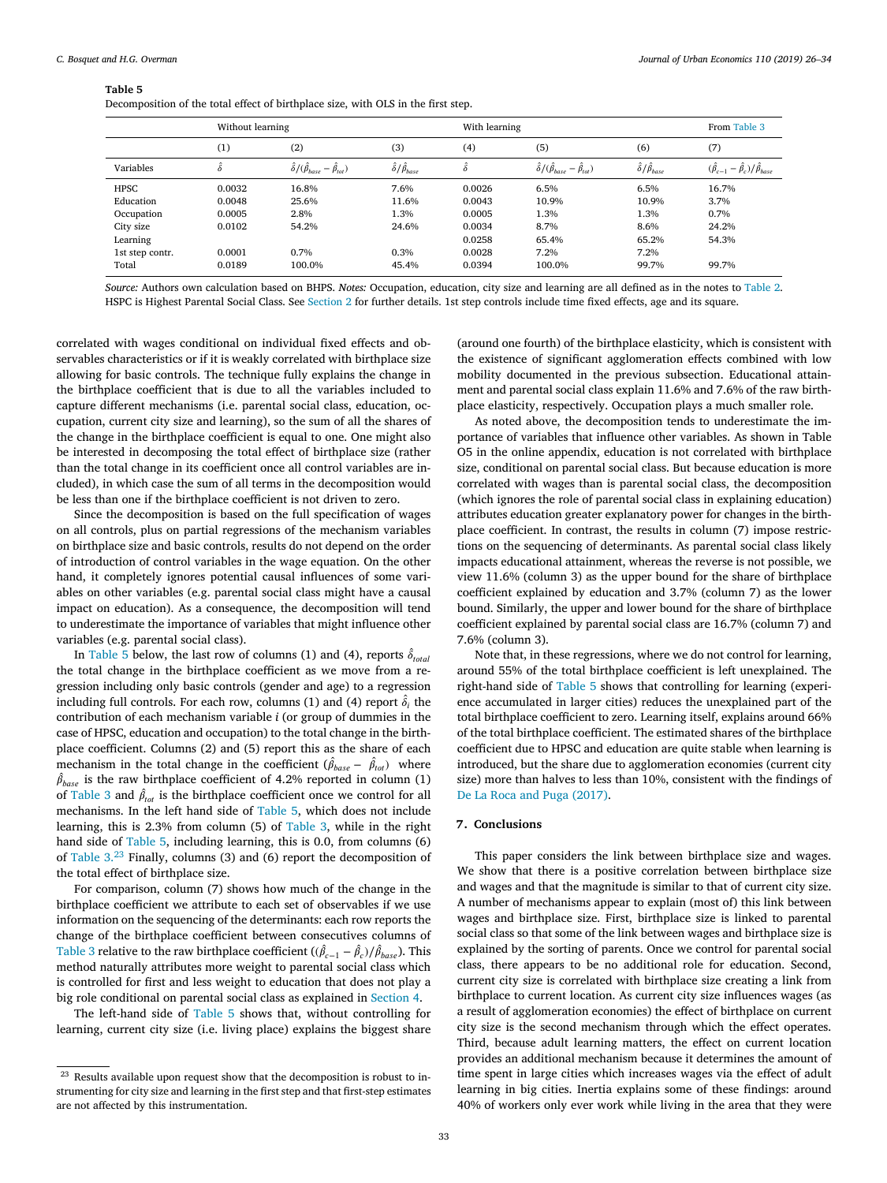Decomposition of the total effect of birthplace size, with OLS in the first step.

|                 |                | Without learning                                        |                                   |                | With learning                                           |                                   |                                                          |  |
|-----------------|----------------|---------------------------------------------------------|-----------------------------------|----------------|---------------------------------------------------------|-----------------------------------|----------------------------------------------------------|--|
|                 | (1)            | (2)                                                     | (3)                               | (4)            | (5)                                                     | (6)                               | (7)                                                      |  |
| Variables       | $\hat{\delta}$ | $\hat{\delta}/(\hat{\beta}_{base} - \hat{\beta}_{tot})$ | $\hat{\delta}/\hat{\beta}_{base}$ | $\hat{\delta}$ | $\hat{\delta}/(\hat{\beta}_{base} - \hat{\beta}_{tot})$ | $\hat{\delta}/\hat{\beta}_{base}$ | $(\hat{\beta}_{c-1} - \hat{\beta}_c)/\hat{\beta}_{base}$ |  |
| <b>HPSC</b>     | 0.0032         | 16.8%                                                   | 7.6%                              | 0.0026         | 6.5%                                                    | 6.5%                              | 16.7%                                                    |  |
| Education       | 0.0048         | 25.6%                                                   | 11.6%                             | 0.0043         | 10.9%                                                   | 10.9%                             | 3.7%                                                     |  |
| Occupation      | 0.0005         | 2.8%                                                    | 1.3%                              | 0.0005         | 1.3%                                                    | 1.3%                              | 0.7%                                                     |  |
| City size       | 0.0102         | 54.2%                                                   | 24.6%                             | 0.0034         | 8.7%                                                    | 8.6%                              | 24.2%                                                    |  |
| Learning        |                |                                                         |                                   | 0.0258         | 65.4%                                                   | 65.2%                             | 54.3%                                                    |  |
| 1st step contr. | 0.0001         | $0.7\%$                                                 | 0.3%                              | 0.0028         | 7.2%                                                    | 7.2%                              |                                                          |  |
| Total           | 0.0189         | 100.0%                                                  | 45.4%                             | 0.0394         | 100.0%                                                  | 99.7%                             | 99.7%                                                    |  |

*Source:* Authors own calculation based on BHPS. *Notes:* Occupation, education, city size and learning are all defined as in the notes to [Table](#page-4-0) 2. HSPC is Highest Parental Social Class. See [Section](#page-1-0) 2 for further details. 1st step controls include time fixed effects, age and its square.

correlated with wages conditional on individual fixed effects and observables characteristics or if it is weakly correlated with birthplace size allowing for basic controls. The technique fully explains the change in the birthplace coefficient that is due to all the variables included to capture different mechanisms (i.e. parental social class, education, occupation, current city size and learning), so the sum of all the shares of the change in the birthplace coefficient is equal to one. One might also be interested in decomposing the total effect of birthplace size (rather than the total change in its coefficient once all control variables are included), in which case the sum of all terms in the decomposition would be less than one if the birthplace coefficient is not driven to zero.

Since the decomposition is based on the full specification of wages on all controls, plus on partial regressions of the mechanism variables on birthplace size and basic controls, results do not depend on the order of introduction of control variables in the wage equation. On the other hand, it completely ignores potential causal influences of some variables on other variables (e.g. parental social class might have a causal impact on education). As a consequence, the decomposition will tend to underestimate the importance of variables that might influence other variables (e.g. parental social class).

In Table 5 below, the last row of columns (1) and (4), reports  $\hat{\delta}_{total}$ the total change in the birthplace coefficient as we move from a regression including only basic controls (gender and age) to a regression including full controls. For each row, columns (1) and (4) report  $\hat{\delta}_i$  the contribution of each mechanism variable *i* (or group of dummies in the case of HPSC, education and occupation) to the total change in the birthplace coefficient. Columns (2) and (5) report this as the share of each mechanism in the total change in the coefficient  $(\hat{\beta}_{base} - \hat{\beta}_{tot})$  where  $\hat{\beta}_{base}$  is the raw birthplace coefficient of 4.2% reported in column (1) of [Table](#page-4-0) 3 and  $\hat{\beta}_{tot}$  is the birthplace coefficient once we control for all mechanisms. In the left hand side of Table 5, which does not include learning, this is 2.3% from column (5) of [Table](#page-4-0) 3, while in the right hand side of Table 5, including learning, this is 0.0, from columns (6) of [Table](#page-4-0) 3.<sup>23</sup> Finally, columns (3) and (6) report the decomposition of the total effect of birthplace size.

For comparison, column (7) shows how much of the change in the birthplace coefficient we attribute to each set of observables if we use information on the sequencing of the determinants: each row reports the change of the birthplace coefficient between consecutives columns of [Table](#page-4-0) 3 relative to the raw birthplace coefficient ( $(\hat{\beta}_{c-1} - \hat{\beta}_c)/\hat{\beta}_{base}$ ). This method naturally attributes more weight to parental social class which is controlled for first and less weight to education that does not play a big role conditional on parental social class as explained in [Section](#page-3-0) 4.

The left-hand side of Table 5 shows that, without controlling for learning, current city size (i.e. living place) explains the biggest share (around one fourth) of the birthplace elasticity, which is consistent with the existence of significant agglomeration effects combined with low mobility documented in the previous subsection. Educational attainment and parental social class explain 11.6% and 7.6% of the raw birthplace elasticity, respectively. Occupation plays a much smaller role.

As noted above, the decomposition tends to underestimate the importance of variables that influence other variables. As shown in Table O5 in the online appendix, education is not correlated with birthplace size, conditional on parental social class. But because education is more correlated with wages than is parental social class, the decomposition (which ignores the role of parental social class in explaining education) attributes education greater explanatory power for changes in the birthplace coefficient. In contrast, the results in column (7) impose restrictions on the sequencing of determinants. As parental social class likely impacts educational attainment, whereas the reverse is not possible, we view 11.6% (column 3) as the upper bound for the share of birthplace coefficient explained by education and 3.7% (column 7) as the lower bound. Similarly, the upper and lower bound for the share of birthplace coefficient explained by parental social class are 16.7% (column 7) and 7.6% (column 3).

Note that, in these regressions, where we do not control for learning, around 55% of the total birthplace coefficient is left unexplained. The right-hand side of Table 5 shows that controlling for learning (experience accumulated in larger cities) reduces the unexplained part of the total birthplace coefficient to zero. Learning itself, explains around 66% of the total birthplace coefficient. The estimated shares of the birthplace coefficient due to HPSC and education are quite stable when learning is introduced, but the share due to agglomeration economies (current city size) more than halves to less than 10%, consistent with the findings of De La Roca and Puga [\(2017\).](#page-8-0)

## **7. Conclusions**

This paper considers the link between birthplace size and wages. We show that there is a positive correlation between birthplace size and wages and that the magnitude is similar to that of current city size. A number of mechanisms appear to explain (most of) this link between wages and birthplace size. First, birthplace size is linked to parental social class so that some of the link between wages and birthplace size is explained by the sorting of parents. Once we control for parental social class, there appears to be no additional role for education. Second, current city size is correlated with birthplace size creating a link from birthplace to current location. As current city size influences wages (as a result of agglomeration economies) the effect of birthplace on current city size is the second mechanism through which the effect operates. Third, because adult learning matters, the effect on current location provides an additional mechanism because it determines the amount of time spent in large cities which increases wages via the effect of adult learning in big cities. Inertia explains some of these findings: around 40% of workers only ever work while living in the area that they were

 $23$  Results available upon request show that the decomposition is robust to instrumenting for city size and learning in the first step and that first-step estimates are not affected by this instrumentation.